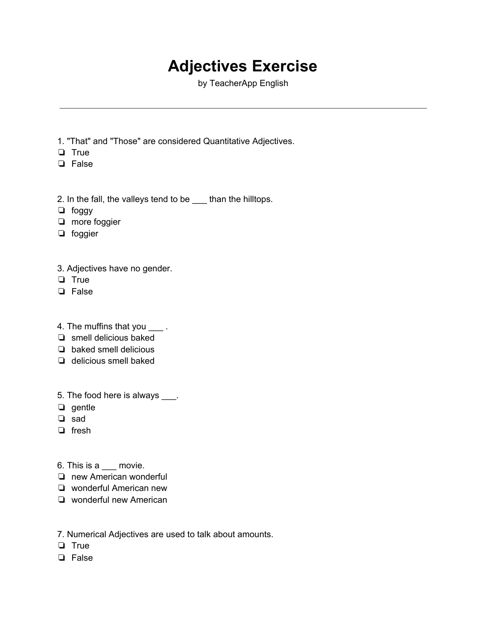## **Adjectives Exercise**

by TeacherApp English

- 1. "That" and "Those" are considered Quantitative Adjectives.
- ❏ True
- ❏ False
- 2. In the fall, the valleys tend to be \_\_\_ than the hilltops.
- ❏ foggy
- ❏ more foggier
- ❏ foggier
- 3. Adjectives have no gender.
- ❏ True
- ❏ False
- 4. The muffins that you \_\_\_\_.
- ❏ smell delicious baked
- ❏ baked smell delicious
- ❏ delicious smell baked
- 5. The food here is always \_\_\_\_.
- ❏ gentle
- ❏ sad
- ❏ fresh
- 6. This is a \_\_\_ movie.
- ❏ new American wonderful
- ❏ wonderful American new
- ❏ wonderful new American
- 7. Numerical Adjectives are used to talk about amounts.
- ❏ True
- ❏ False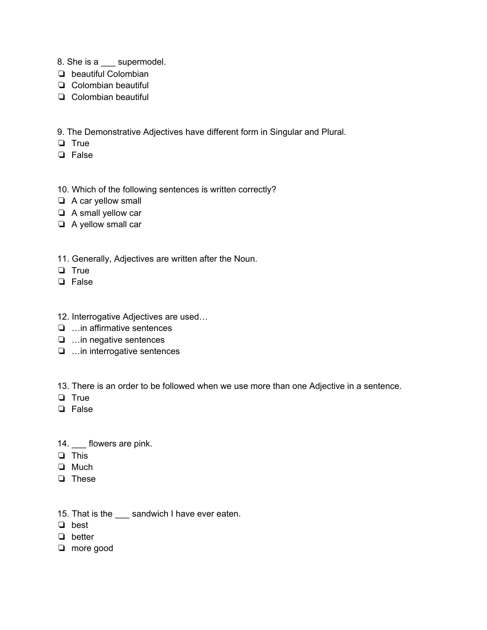- 8. She is a \_\_\_ supermodel.
- ❏ beautiful Colombian
- ❏ Colombian beautiful
- ❏ Colombian beautiful

9. The Demonstrative Adjectives have different form in Singular and Plural.

- ❏ True
- ❏ False

#### 10. Which of the following sentences is written correctly?

- ❏ A car yellow small
- ❏ A small yellow car
- ❏ A yellow small car
- 11. Generally, Adjectives are written after the Noun.
- ❏ True
- ❏ False
- 12. Interrogative Adjectives are used…
- ❏ …in affirmative sentences
- ❏ …in negative sentences
- ❏ …in interrogative sentences

13. There is an order to be followed when we use more than one Adjective in a sentence.

- ❏ True
- ❏ False
- 14. \_\_\_ flowers are pink.
- ❏ This
- ❏ Much
- ❏ These

### 15. That is the \_\_\_ sandwich I have ever eaten.

- ❏ best
- ❏ better
- ❏ more good